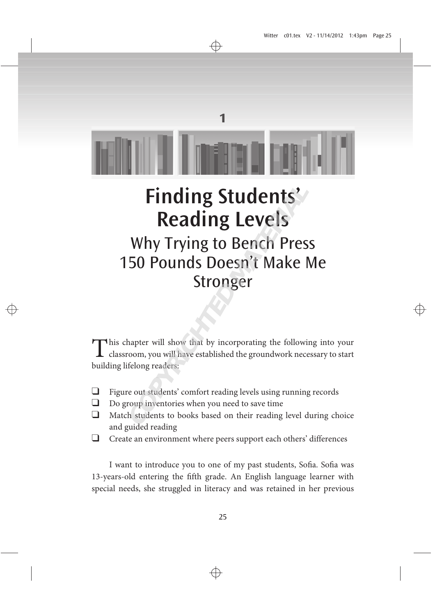

⊕

# **Finding Students' Reading Levels**

Why Trying to Bench Press 150 Pounds Doesn't Make Me Stronger **Finding Students'**<br> **Reading Levels**<br>
Why Trying to Bench Press<br>
50 Pounds Doesn't Make M<br>
Stronger<br>
Anapter will show that by incorporating the followin,<br>
hapter will show that by incorporating the followin,<br>
noom, you w

This chapter will show that by incorporating the following into your  $\mathsf L\,$  classroom, you will have established the groundwork necessary to start building lifelong readers:

- ❑ Figure out students' comfort reading levels using running records
- ❑ Do group inventories when you need to save time
- ❑ Match students to books based on their reading level during choice and guided reading
- ❑ Create an environment where peers support each others' differences

I want to introduce you to one of my past students, Sofia. Sofia was 13-years-old entering the fifth grade. An English language learner with special needs, she struggled in literacy and was retained in her previous

⊕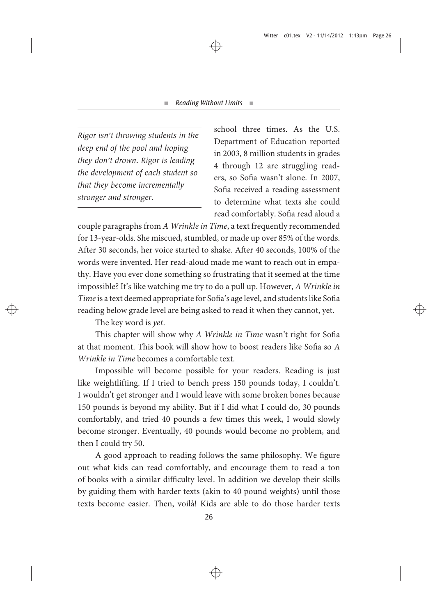*Rigor isn't throwing students in the deep end of the pool and hoping they don't drown. Rigor is leading the development of each student so that they become incrementally stronger and stronger.*

school three times. As the U.S. Department of Education reported in 2003, 8 million students in grades 4 through 12 are struggling readers, so Sofia wasn't alone. In 2007, Sofia received a reading assessment to determine what texts she could read comfortably. Sofia read aloud a

couple paragraphs from *A Wrinkle in Time*, a text frequently recommended for 13-year-olds. She miscued, stumbled, or made up over 85% of the words. After 30 seconds, her voice started to shake. After 40 seconds, 100% of the words were invented. Her read-aloud made me want to reach out in empathy. Have you ever done something so frustrating that it seemed at the time impossible? It's like watching me try to do a pull up. However, *A Wrinkle in Time* is a text deemed appropriate for Sofia's age level, and students like Sofia reading below grade level are being asked to read it when they cannot, yet.

The key word is *yet*.

This chapter will show why *A Wrinkle in Time* wasn't right for Sofia at that moment. This book will show how to boost readers like Sofia so *A Wrinkle in Time* becomes a comfortable text.

Impossible will become possible for your readers. Reading is just like weightlifting. If I tried to bench press 150 pounds today, I couldn't. I wouldn't get stronger and I would leave with some broken bones because 150 pounds is beyond my ability. But if I did what I could do, 30 pounds comfortably, and tried 40 pounds a few times this week, I would slowly become stronger. Eventually, 40 pounds would become no problem, and then I could try 50.

A good approach to reading follows the same philosophy. We figure out what kids can read comfortably, and encourage them to read a ton of books with a similar difficulty level. In addition we develop their skills by guiding them with harder texts (akin to 40 pound weights) until those texts become easier. Then, voila! Kids are able to do those harder texts `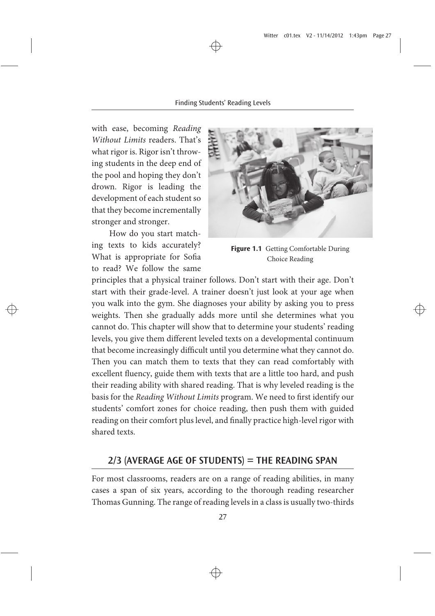with ease, becoming *Reading Without Limits* readers. That's what rigor is. Rigor isn't throwing students in the deep end of the pool and hoping they don't drown. Rigor is leading the development of each student so that they become incrementally stronger and stronger.

How do you start matching texts to kids accurately? What is appropriate for Sofia to read? We follow the same



**Figure 1.1** Getting Comfortable During Choice Reading

principles that a physical trainer follows. Don't start with their age. Don't start with their grade-level. A trainer doesn't just look at your age when you walk into the gym. She diagnoses your ability by asking you to press weights. Then she gradually adds more until she determines what you cannot do. This chapter will show that to determine your students' reading levels, you give them different leveled texts on a developmental continuum that become increasingly difficult until you determine what they cannot do. Then you can match them to texts that they can read comfortably with excellent fluency, guide them with texts that are a little too hard, and push their reading ability with shared reading. That is why leveled reading is the basis for the *Reading Without Limits* program. We need to first identify our students' comfort zones for choice reading, then push them with guided reading on their comfort plus level, and finally practice high-level rigor with shared texts.

#### **2/3 (AVERAGE AGE OF STUDENTS) = THE READING SPAN**

For most classrooms, readers are on a range of reading abilities, in many cases a span of six years, according to the thorough reading researcher Thomas Gunning. The range of reading levels in a class is usually two-thirds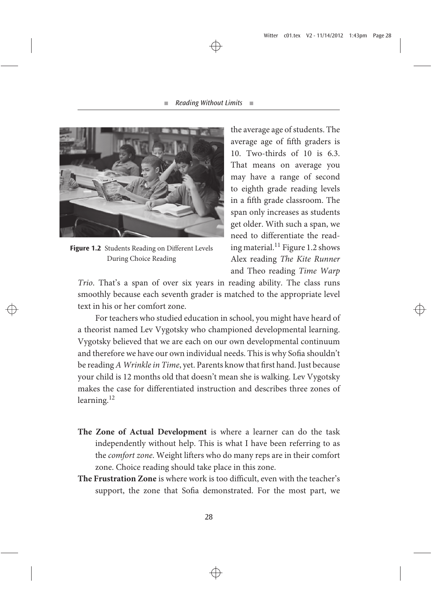

**Figure 1.2** Students Reading on Different Levels During Choice Reading

the average age of students. The average age of fifth graders is 10. Two-thirds of 10 is 6.3. That means on average you may have a range of second to eighth grade reading levels in a fifth grade classroom. The span only increases as students get older. With such a span, we need to differentiate the reading material.<sup>11</sup> Figure 1.2 shows Alex reading *The Kite Runner* and Theo reading *Time Warp*

*Trio*. That's a span of over six years in reading ability. The class runs smoothly because each seventh grader is matched to the appropriate level text in his or her comfort zone.

For teachers who studied education in school, you might have heard of a theorist named Lev Vygotsky who championed developmental learning. Vygotsky believed that we are each on our own developmental continuum and therefore we have our own individual needs. This is why Sofia shouldn't be reading *A Wrinkle in Time*, yet. Parents know that first hand. Just because your child is 12 months old that doesn't mean she is walking. Lev Vygotsky makes the case for differentiated instruction and describes three zones of learning. $12$ 

- **The Zone of Actual Development** is where a learner can do the task independently without help. This is what I have been referring to as the *comfort zone*. Weight lifters who do many reps are in their comfort zone. Choice reading should take place in this zone.
- **The Frustration Zone** is where work is too difficult, even with the teacher's support, the zone that Sofia demonstrated. For the most part, we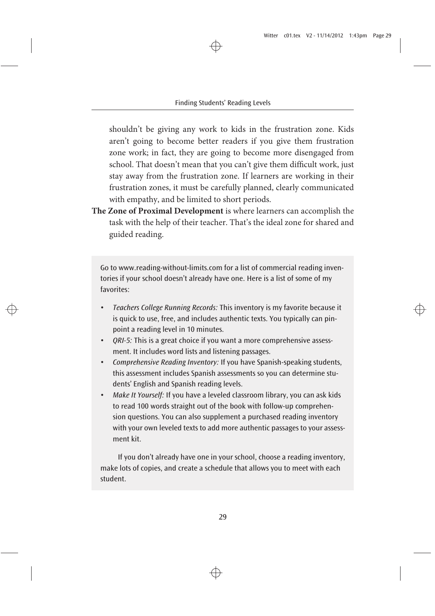shouldn't be giving any work to kids in the frustration zone. Kids aren't going to become better readers if you give them frustration zone work; in fact, they are going to become more disengaged from school. That doesn't mean that you can't give them difficult work, just stay away from the frustration zone. If learners are working in their frustration zones, it must be carefully planned, clearly communicated with empathy, and be limited to short periods.

**The Zone of Proximal Development** is where learners can accomplish the task with the help of their teacher. That's the ideal zone for shared and guided reading.

Go to www.reading-without-limits.com for a list of commercial reading inventories if your school doesn't already have one. Here is a list of some of my favorites:

- Teachers College Running Records: This inventory is my favorite because it is quick to use, free, and includes authentic texts. You typically can pinpoint a reading level in 10 minutes.
- QRI-5: This is a great choice if you want a more comprehensive assessment. It includes word lists and listening passages.
- Comprehensive Reading Inventory: If you have Spanish-speaking students, this assessment includes Spanish assessments so you can determine students' English and Spanish reading levels.
- Make It Yourself: If you have a leveled classroom library, you can ask kids to read 100 words straight out of the book with follow-up comprehension questions. You can also supplement a purchased reading inventory with your own leveled texts to add more authentic passages to your assessment kit.

If you don't already have one in your school, choose a reading inventory, make lots of copies, and create a schedule that allows you to meet with each student.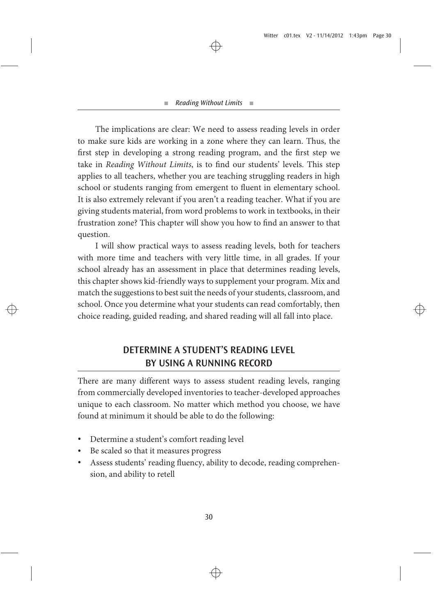The implications are clear: We need to assess reading levels in order to make sure kids are working in a zone where they can learn. Thus, the first step in developing a strong reading program, and the first step we take in *Reading Without Limits*, is to find our students' levels. This step applies to all teachers, whether you are teaching struggling readers in high school or students ranging from emergent to fluent in elementary school. It is also extremely relevant if you aren't a reading teacher. What if you are giving students material, from word problems to work in textbooks, in their frustration zone? This chapter will show you how to find an answer to that question.

I will show practical ways to assess reading levels, both for teachers with more time and teachers with very little time, in all grades. If your school already has an assessment in place that determines reading levels, this chapter shows kid-friendly ways to supplement your program. Mix and match the suggestions to best suit the needs of your students, classroom, and school. Once you determine what your students can read comfortably, then choice reading, guided reading, and shared reading will all fall into place.

# **DETERMINE A STUDENT'S READING LEVEL BY USING A RUNNING RECORD**

There are many different ways to assess student reading levels, ranging from commercially developed inventories to teacher-developed approaches unique to each classroom. No matter which method you choose, we have found at minimum it should be able to do the following:

- Determine a student's comfort reading level
- Be scaled so that it measures progress
- Assess students' reading fluency, ability to decode, reading comprehension, and ability to retell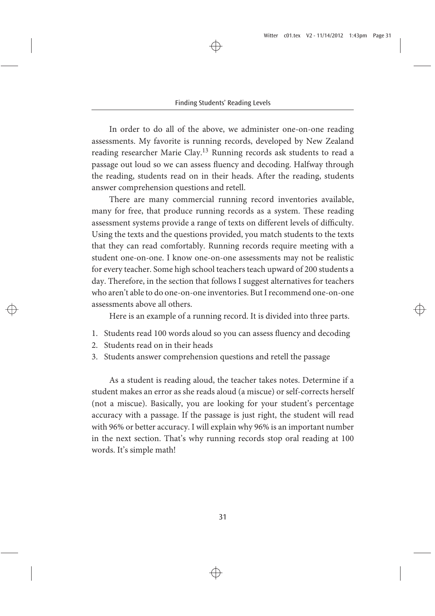In order to do all of the above, we administer one-on-one reading assessments. My favorite is running records, developed by New Zealand reading researcher Marie Clay.<sup>13</sup> Running records ask students to read a passage out loud so we can assess fluency and decoding. Halfway through the reading, students read on in their heads. After the reading, students answer comprehension questions and retell.

There are many commercial running record inventories available, many for free, that produce running records as a system. These reading assessment systems provide a range of texts on different levels of difficulty. Using the texts and the questions provided, you match students to the texts that they can read comfortably. Running records require meeting with a student one-on-one. I know one-on-one assessments may not be realistic for every teacher. Some high school teachers teach upward of 200 students a day. Therefore, in the section that follows I suggest alternatives for teachers who aren't able to do one-on-one inventories. But I recommend one-on-one assessments above all others.

Here is an example of a running record. It is divided into three parts.

- 1. Students read 100 words aloud so you can assess fluency and decoding
- 2. Students read on in their heads
- 3. Students answer comprehension questions and retell the passage

As a student is reading aloud, the teacher takes notes. Determine if a student makes an error as she reads aloud (a miscue) or self-corrects herself (not a miscue). Basically, you are looking for your student's percentage accuracy with a passage. If the passage is just right, the student will read with 96% or better accuracy. I will explain why 96% is an important number in the next section. That's why running records stop oral reading at 100 words. It's simple math!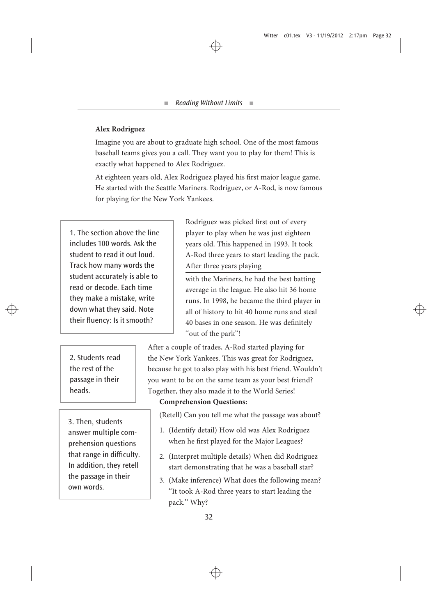#### **Alex Rodriguez**

Imagine you are about to graduate high school. One of the most famous baseball teams gives you a call. They want you to play for them! This is exactly what happened to Alex Rodriguez.

At eighteen years old, Alex Rodriguez played his first major league game. He started with the Seattle Mariners. Rodriguez, or A-Rod, is now famous for playing for the New York Yankees.

1. The section above the line includes 100 words. Ask the student to read it out loud. Track how many words the student accurately is able to read or decode. Each time they make a mistake, write down what they said. Note their fluency: Is it smooth?

2. Students read the rest of the passage in their heads.

3. Then, students answer multiple comprehension questions that range in difficulty. In addition, they retell the passage in their own words.

Rodriguez was picked first out of every player to play when he was just eighteen years old. This happened in 1993. It took A-Rod three years to start leading the pack. After three years playing

with the Mariners, he had the best batting average in the league. He also hit 36 home runs. In 1998, he became the third player in all of history to hit 40 home runs and steal 40 bases in one season. He was definitely "out of the park"!

After a couple of trades, A-Rod started playing for the New York Yankees. This was great for Rodriguez, because he got to also play with his best friend. Wouldn't you want to be on the same team as your best friend? Together, they also made it to the World Series!

#### **Comprehension Questions:**

(Retell) Can you tell me what the passage was about?

- 1. (Identify detail) How old was Alex Rodriguez when he first played for the Major Leagues?
- 2. (Interpret multiple details) When did Rodriguez start demonstrating that he was a baseball star?
- 3. (Make inference) What does the following mean? ''It took A-Rod three years to start leading the pack.'' Why?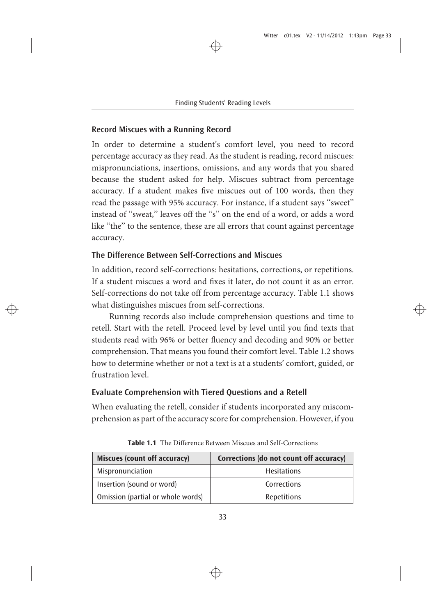#### **Record Miscues with a Running Record**

In order to determine a student's comfort level, you need to record percentage accuracy as they read. As the student is reading, record miscues: mispronunciations, insertions, omissions, and any words that you shared because the student asked for help. Miscues subtract from percentage accuracy. If a student makes five miscues out of 100 words, then they read the passage with 95% accuracy. For instance, if a student says ''sweet'' instead of ''sweat,'' leaves off the ''s'' on the end of a word, or adds a word like "the" to the sentence, these are all errors that count against percentage accuracy.

#### **The Difference Between Self-Corrections and Miscues**

In addition, record self-corrections: hesitations, corrections, or repetitions. If a student miscues a word and fixes it later, do not count it as an error. Self-corrections do not take off from percentage accuracy. Table 1.1 shows what distinguishes miscues from self-corrections.

Running records also include comprehension questions and time to retell. Start with the retell. Proceed level by level until you find texts that students read with 96% or better fluency and decoding and 90% or better comprehension. That means you found their comfort level. Table 1.2 shows how to determine whether or not a text is at a students' comfort, guided, or frustration level.

#### **Evaluate Comprehension with Tiered Questions and a Retell**

When evaluating the retell, consider if students incorporated any miscomprehension as part of the accuracy score for comprehension. However, if you

| Miscues (count off accuracy)      | Corrections (do not count off accuracy) |  |
|-----------------------------------|-----------------------------------------|--|
| Mispronunciation                  | <b>Hesitations</b>                      |  |
| Insertion (sound or word)         | Corrections                             |  |
| Omission (partial or whole words) | Repetitions                             |  |

| <b>Table 1.1</b> The Difference Between Miscues and Self-Corrections |  |
|----------------------------------------------------------------------|--|
|----------------------------------------------------------------------|--|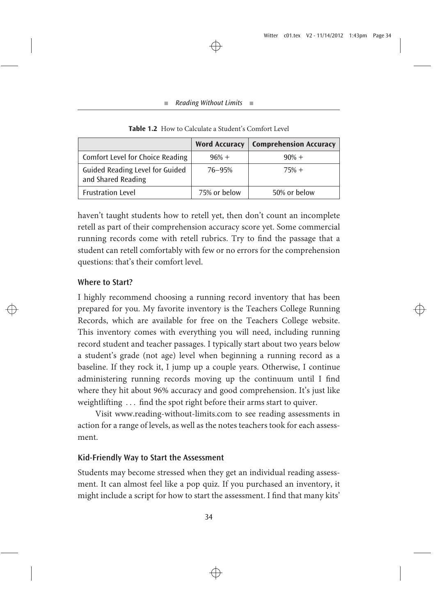|                                                              | <b>Word Accuracy</b> | <b>Comprehension Accuracy</b> |
|--------------------------------------------------------------|----------------------|-------------------------------|
| <b>Comfort Level for Choice Reading</b>                      | $96\% +$             | $90\% +$                      |
| <b>Guided Reading Level for Guided</b><br>and Shared Reading | 76–95%               | $75% +$                       |
| <b>Frustration Level</b>                                     | 75% or below         | 50% or below                  |

Table 1.2 How to Calculate a Student's Comfort Level

haven't taught students how to retell yet, then don't count an incomplete retell as part of their comprehension accuracy score yet. Some commercial running records come with retell rubrics. Try to find the passage that a student can retell comfortably with few or no errors for the comprehension questions: that's their comfort level.

#### **Where to Start?**

I highly recommend choosing a running record inventory that has been prepared for you. My favorite inventory is the Teachers College Running Records, which are available for free on the Teachers College website. This inventory comes with everything you will need, including running record student and teacher passages. I typically start about two years below a student's grade (not age) level when beginning a running record as a baseline. If they rock it, I jump up a couple years. Otherwise, I continue administering running records moving up the continuum until I find where they hit about 96% accuracy and good comprehension. It's just like weightlifting *...* find the spot right before their arms start to quiver.

Visit www.reading-without-limits.com to see reading assessments in action for a range of levels, as well as the notes teachers took for each assessment.

#### **Kid-Friendly Way to Start the Assessment**

Students may become stressed when they get an individual reading assessment. It can almost feel like a pop quiz. If you purchased an inventory, it might include a script for how to start the assessment. I find that many kits'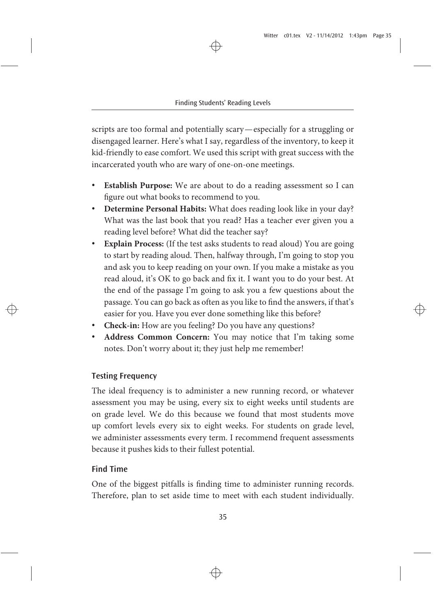scripts are too formal and potentially scary—especially for a struggling or disengaged learner. Here's what I say, regardless of the inventory, to keep it kid-friendly to ease comfort. We used this script with great success with the incarcerated youth who are wary of one-on-one meetings.

- **Establish Purpose:** We are about to do a reading assessment so I can figure out what books to recommend to you.
- **Determine Personal Habits:** What does reading look like in your day? What was the last book that you read? Has a teacher ever given you a reading level before? What did the teacher say?
- **Explain Process:** (If the test asks students to read aloud) You are going to start by reading aloud. Then, halfway through, I'm going to stop you and ask you to keep reading on your own. If you make a mistake as you read aloud, it's OK to go back and fix it. I want you to do your best. At the end of the passage I'm going to ask you a few questions about the passage. You can go back as often as you like to find the answers, if that's easier for you. Have you ever done something like this before?
- **Check-in:** How are you feeling? Do you have any questions?
- **Address Common Concern:** You may notice that I'm taking some notes. Don't worry about it; they just help me remember!

#### **Testing Frequency**

The ideal frequency is to administer a new running record, or whatever assessment you may be using, every six to eight weeks until students are on grade level. We do this because we found that most students move up comfort levels every six to eight weeks. For students on grade level, we administer assessments every term. I recommend frequent assessments because it pushes kids to their fullest potential.

#### **Find Time**

One of the biggest pitfalls is finding time to administer running records. Therefore, plan to set aside time to meet with each student individually.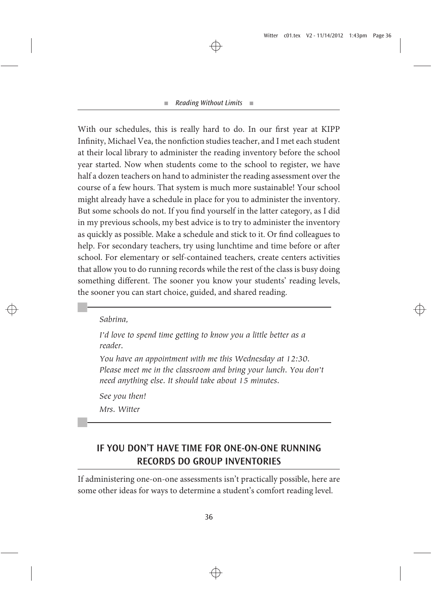With our schedules, this is really hard to do. In our first year at KIPP Infinity, Michael Vea, the nonfiction studies teacher, and I met each student at their local library to administer the reading inventory before the school year started. Now when students come to the school to register, we have half a dozen teachers on hand to administer the reading assessment over the course of a few hours. That system is much more sustainable! Your school might already have a schedule in place for you to administer the inventory. But some schools do not. If you find yourself in the latter category, as I did in my previous schools, my best advice is to try to administer the inventory as quickly as possible. Make a schedule and stick to it. Or find colleagues to help. For secondary teachers, try using lunchtime and time before or after school. For elementary or self-contained teachers, create centers activities that allow you to do running records while the rest of the class is busy doing something different. The sooner you know your students' reading levels, the sooner you can start choice, guided, and shared reading.

*Sabrina,*

■

■

*I'd love to spend time getting to know you a little better as a reader.*

*You have an appointment with me this Wednesday at 12:30. Please meet me in the classroom and bring your lunch. You don't need anything else. It should take about 15 minutes.*

*See you then!*

*Mrs. Witter*

# **IF YOU DON'T HAVE TIME FOR ONE-ON-ONE RUNNING RECORDS DO GROUP INVENTORIES**

If administering one-on-one assessments isn't practically possible, here are some other ideas for ways to determine a student's comfort reading level.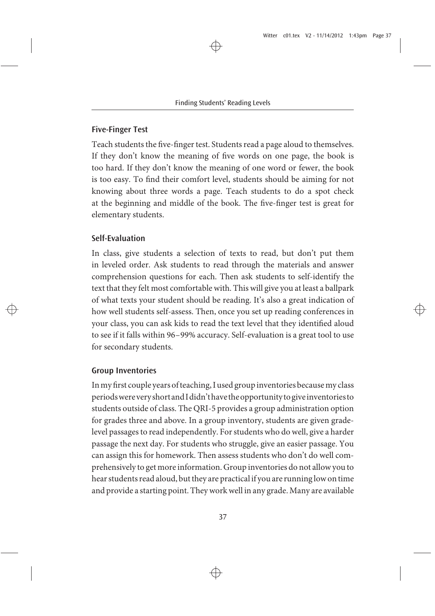#### **Five-Finger Test**

Teach students the five-finger test. Students read a page aloud to themselves. If they don't know the meaning of five words on one page, the book is too hard. If they don't know the meaning of one word or fewer, the book is too easy. To find their comfort level, students should be aiming for not knowing about three words a page. Teach students to do a spot check at the beginning and middle of the book. The five-finger test is great for elementary students.

#### **Self-Evaluation**

In class, give students a selection of texts to read, but don't put them in leveled order. Ask students to read through the materials and answer comprehension questions for each. Then ask students to self-identify the text that they felt most comfortable with. This will give you at least a ballpark of what texts your student should be reading. It's also a great indication of how well students self-assess. Then, once you set up reading conferences in your class, you can ask kids to read the text level that they identified aloud to see if it falls within 96–99% accuracy. Self-evaluation is a great tool to use for secondary students.

#### **Group Inventories**

Inmy first couple years of teaching, I used group inventories becausemy class periodswerevery shortand Ididn'thave theopportunity togiveinventories to students outside of class. The QRI-5 provides a group administration option for grades three and above. In a group inventory, students are given gradelevel passages to read independently. For students who do well, give a harder passage the next day. For students who struggle, give an easier passage. You can assign this for homework. Then assess students who don't do well comprehensively to get more information. Group inventories do not allow you to hear students read aloud, but they are practical if you are running low on time and provide a starting point. They work well in any grade. Many are available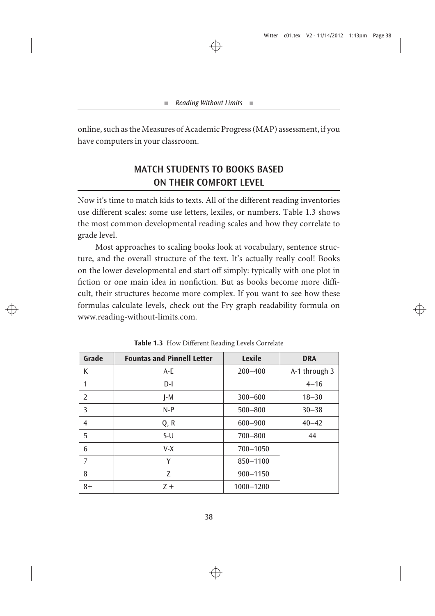online, such as the Measures of Academic Progress (MAP) assessment, if you have computers in your classroom.

# **MATCH STUDENTS TO BOOKS BASED ON THEIR COMFORT LEVEL**

Now it's time to match kids to texts. All of the different reading inventories use different scales: some use letters, lexiles, or numbers. Table 1.3 shows the most common developmental reading scales and how they correlate to grade level.

Most approaches to scaling books look at vocabulary, sentence structure, and the overall structure of the text. It's actually really cool! Books on the lower developmental end start off simply: typically with one plot in fiction or one main idea in nonfiction. But as books become more difficult, their structures become more complex. If you want to see how these formulas calculate levels, check out the Fry graph readability formula on www.reading-without-limits.com.

| Grade          | <b>Fountas and Pinnell Letter</b> | <b>Lexile</b> | <b>DRA</b>    |
|----------------|-----------------------------------|---------------|---------------|
| K              | A-E                               | $200 - 400$   | A-1 through 3 |
| 1              | $D-I$                             |               | $4 - 16$      |
| $\overline{2}$ | $I-M$                             | $300 - 600$   | $18 - 30$     |
| 3              | $N-P$                             | $500 - 800$   | $30 - 38$     |
| 4              | Q, R                              | $600 - 900$   | $40 - 42$     |
| 5              | $S-U$                             | $700 - 800$   | 44            |
| 6              | $V-X$                             | 700-1050      |               |
| 7              | Υ                                 | 850-1100      |               |
| 8              | Z                                 | $900 - 1150$  |               |
| $8+$           | $Z +$                             | 1000-1200     |               |

**Table 1.3** How Different Reading Levels Correlate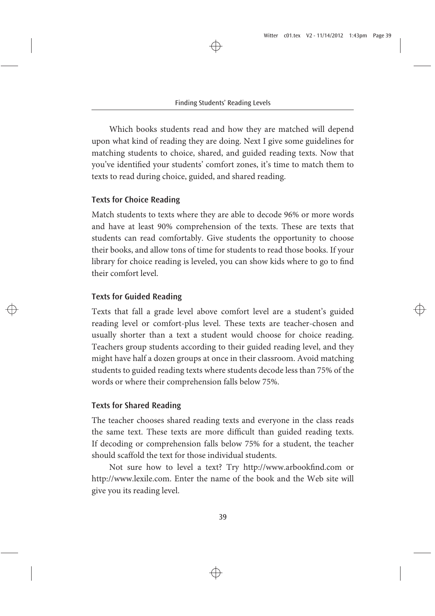Which books students read and how they are matched will depend upon what kind of reading they are doing. Next I give some guidelines for matching students to choice, shared, and guided reading texts. Now that you've identified your students' comfort zones, it's time to match them to texts to read during choice, guided, and shared reading.

#### **Texts for Choice Reading**

Match students to texts where they are able to decode 96% or more words and have at least 90% comprehension of the texts. These are texts that students can read comfortably. Give students the opportunity to choose their books, and allow tons of time for students to read those books. If your library for choice reading is leveled, you can show kids where to go to find their comfort level.

#### **Texts for Guided Reading**

Texts that fall a grade level above comfort level are a student's guided reading level or comfort-plus level. These texts are teacher-chosen and usually shorter than a text a student would choose for choice reading. Teachers group students according to their guided reading level, and they might have half a dozen groups at once in their classroom. Avoid matching students to guided reading texts where students decode less than 75% of the words or where their comprehension falls below 75%.

#### **Texts for Shared Reading**

The teacher chooses shared reading texts and everyone in the class reads the same text. These texts are more difficult than guided reading texts. If decoding or comprehension falls below 75% for a student, the teacher should scaffold the text for those individual students.

Not sure how to level a text? Try http://www.arbookfind.com or http://www.lexile.com. Enter the name of the book and the Web site will give you its reading level.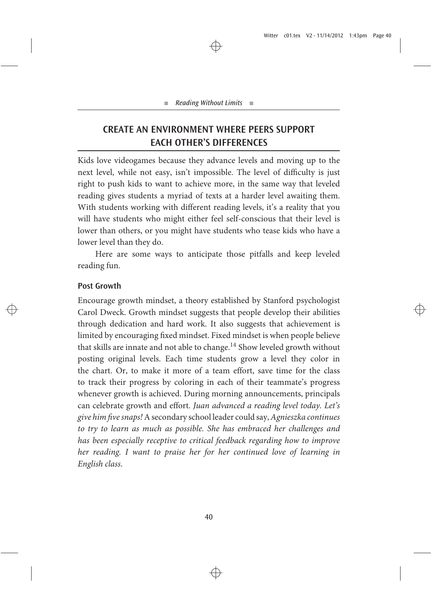#### Reading Without Limits  $\blacksquare$

# **CREATE AN ENVIRONMENT WHERE PEERS SUPPORT EACH OTHER'S DIFFERENCES**

Kids love videogames because they advance levels and moving up to the next level, while not easy, isn't impossible. The level of difficulty is just right to push kids to want to achieve more, in the same way that leveled reading gives students a myriad of texts at a harder level awaiting them. With students working with different reading levels, it's a reality that you will have students who might either feel self-conscious that their level is lower than others, or you might have students who tease kids who have a lower level than they do.

Here are some ways to anticipate those pitfalls and keep leveled reading fun.

#### **Post Growth**

Encourage growth mindset, a theory established by Stanford psychologist Carol Dweck. Growth mindset suggests that people develop their abilities through dedication and hard work. It also suggests that achievement is limited by encouraging fixed mindset. Fixed mindset is when people believe that skills are innate and not able to change.<sup>14</sup> Show leveled growth without posting original levels. Each time students grow a level they color in the chart. Or, to make it more of a team effort, save time for the class to track their progress by coloring in each of their teammate's progress whenever growth is achieved. During morning announcements, principals can celebrate growth and effort. *Juan advanced a reading level today. Let's give him five snaps!*A secondary school leader could say,*Agnieszka continues to try to learn as much as possible. She has embraced her challenges and has been especially receptive to critical feedback regarding how to improve her reading. I want to praise her for her continued love of learning in English class*.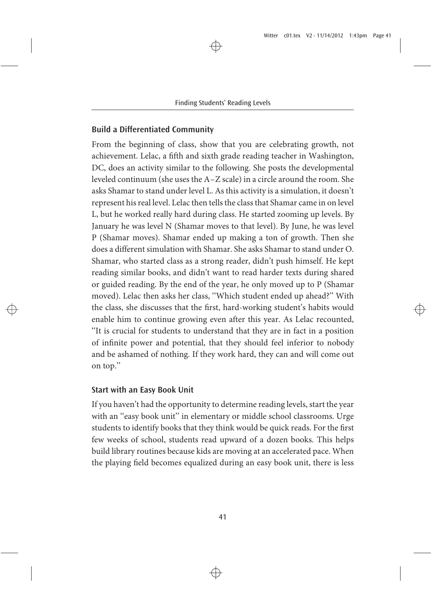#### **Build a Differentiated Community**

From the beginning of class, show that you are celebrating growth, not achievement. Lelac, a fifth and sixth grade reading teacher in Washington, DC, does an activity similar to the following. She posts the developmental leveled continuum (she uses the A–Z scale) in a circle around the room. She asks Shamar to stand under level L. As this activity is a simulation, it doesn't represent his real level. Lelac then tells the class that Shamar came in on level L, but he worked really hard during class. He started zooming up levels. By January he was level N (Shamar moves to that level). By June, he was level P (Shamar moves). Shamar ended up making a ton of growth. Then she does a different simulation with Shamar. She asks Shamar to stand under O. Shamar, who started class as a strong reader, didn't push himself. He kept reading similar books, and didn't want to read harder texts during shared or guided reading. By the end of the year, he only moved up to P (Shamar moved). Lelac then asks her class, ''Which student ended up ahead?'' With the class, she discusses that the first, hard-working student's habits would enable him to continue growing even after this year. As Lelac recounted, ''It is crucial for students to understand that they are in fact in a position of infinite power and potential, that they should feel inferior to nobody and be ashamed of nothing. If they work hard, they can and will come out on top.''

#### **Start with an Easy Book Unit**

If you haven't had the opportunity to determine reading levels, start the year with an "easy book unit" in elementary or middle school classrooms. Urge students to identify books that they think would be quick reads. For the first few weeks of school, students read upward of a dozen books. This helps build library routines because kids are moving at an accelerated pace. When the playing field becomes equalized during an easy book unit, there is less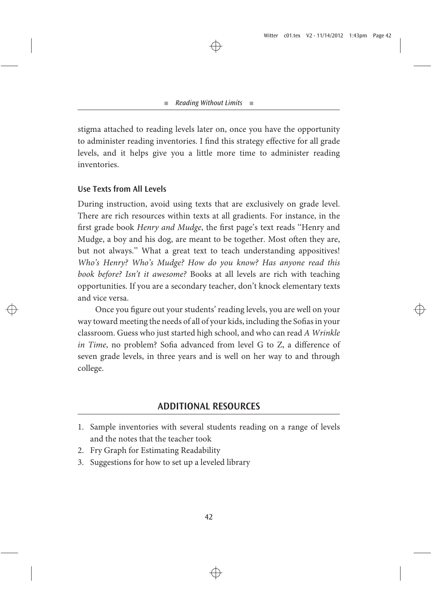stigma attached to reading levels later on, once you have the opportunity to administer reading inventories. I find this strategy effective for all grade levels, and it helps give you a little more time to administer reading inventories.

#### **Use Texts from All Levels**

During instruction, avoid using texts that are exclusively on grade level. There are rich resources within texts at all gradients. For instance, in the first grade book *Henry and Mudge*, the first page's text reads ''Henry and Mudge, a boy and his dog, are meant to be together. Most often they are, but not always.'' What a great text to teach understanding appositives! *Who's Henry? Who's Mudge? How do you know? Has anyone read this book before? Isn't it awesome?* Books at all levels are rich with teaching opportunities. If you are a secondary teacher, don't knock elementary texts and vice versa.

Once you figure out your students' reading levels, you are well on your way toward meeting the needs of all of your kids, including the Sofias in your classroom. Guess who just started high school, and who can read *A Wrinkle in Time*, no problem? Sofia advanced from level G to Z, a difference of seven grade levels, in three years and is well on her way to and through college.

#### **ADDITIONAL RESOURCES**

- 1. Sample inventories with several students reading on a range of levels and the notes that the teacher took
- 2. Fry Graph for Estimating Readability
- 3. Suggestions for how to set up a leveled library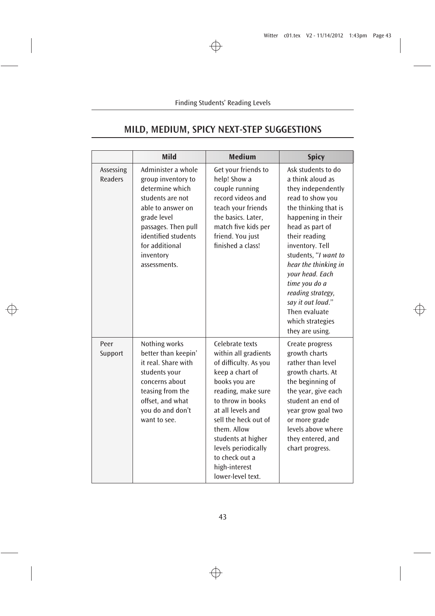$\oplus$ 

# Finding Students' Reading Levels

 $\bigoplus$ 

# **MILD, MEDIUM, SPICY NEXT-STEP SUGGESTIONS**

|                             | <b>Mild</b>                                                                                                                                                                                                      | <b>Medium</b>                                                                                                                                                                                                                                                                                                    | <b>Spicy</b>                                                                                                                                                                                                                                                                                                                                                                |
|-----------------------------|------------------------------------------------------------------------------------------------------------------------------------------------------------------------------------------------------------------|------------------------------------------------------------------------------------------------------------------------------------------------------------------------------------------------------------------------------------------------------------------------------------------------------------------|-----------------------------------------------------------------------------------------------------------------------------------------------------------------------------------------------------------------------------------------------------------------------------------------------------------------------------------------------------------------------------|
| Assessing<br><b>Readers</b> | Administer a whole<br>group inventory to<br>determine which<br>students are not<br>able to answer on<br>grade level<br>passages. Then pull<br>identified students<br>for additional<br>inventory<br>assessments. | Get your friends to<br>help! Show a<br>couple running<br>record videos and<br>teach your friends<br>the basics. Later,<br>match five kids per<br>friend. You just<br>finished a class!                                                                                                                           | Ask students to do<br>a think aloud as<br>they independently<br>read to show you<br>the thinking that is<br>happening in their<br>head as part of<br>their reading<br>inventory. Tell<br>students, "I want to<br>hear the thinking in<br>your head. Each<br>time you do a<br>reading strategy,<br>say it out loud."<br>Then evaluate<br>which strategies<br>they are using. |
| Peer<br>Support             | Nothing works<br>better than keepin'<br>it real. Share with<br>students your<br>concerns about<br>teasing from the<br>offset, and what<br>you do and don't<br>want to see.                                       | Celebrate texts<br>within all gradients<br>of difficulty. As you<br>keep a chart of<br>books you are<br>reading, make sure<br>to throw in books<br>at all levels and<br>sell the heck out of<br>them. Allow<br>students at higher<br>levels periodically<br>to check out a<br>high-interest<br>lower-level text. | Create progress<br>growth charts<br>rather than level<br>growth charts. At<br>the beginning of<br>the year, give each<br>student an end of<br>year grow goal two<br>or more grade<br>levels above where<br>they entered, and<br>chart progress.                                                                                                                             |

 $\overline{\mathcal{A}}$ 

 $\bigoplus$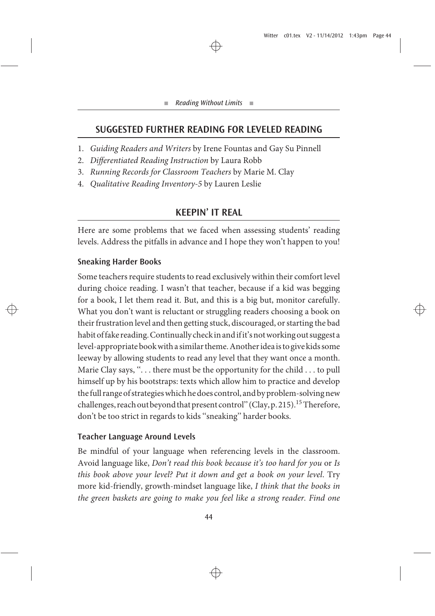# **SUGGESTED FURTHER READING FOR LEVELED READING**

- 1. *Guiding Readers and Writers* by Irene Fountas and Gay Su Pinnell
- 2. *Differentiated Reading Instruction* by Laura Robb
- 3. *Running Records for Classroom Teachers* by Marie M. Clay
- 4. *Qualitative Reading Inventory-5* by Lauren Leslie

# **KEEPIN' IT REAL**

Here are some problems that we faced when assessing students' reading levels. Address the pitfalls in advance and I hope they won't happen to you!

#### **Sneaking Harder Books**

Some teachers require students to read exclusively within their comfort level during choice reading. I wasn't that teacher, because if a kid was begging for a book, I let them read it. But, and this is a big but, monitor carefully. What you don't want is reluctant or struggling readers choosing a book on their frustration level and then getting stuck, discouraged, or starting the bad habit of fake reading. Continually check in and if it's not working out suggest a level-appropriate book with a similar theme. Another idea is to give kids some leeway by allowing students to read any level that they want once a month. Marie Clay says, "... there must be the opportunity for the child ... to pull himself up by his bootstraps: texts which allow him to practice and develop thefull range of strategieswhich he does control, and by problem-solving new challenges, reach out beyond that present control" (Clay, p. 215).<sup>15</sup> Therefore, don't be too strict in regards to kids ''sneaking'' harder books.

#### **Teacher Language Around Levels**

Be mindful of your language when referencing levels in the classroom. Avoid language like, *Don't read this book because it's too hard for you* or *Is this book above your level? Put it down and get a book on your level*. Try more kid-friendly, growth-mindset language like, *I think that the books in the green baskets are going to make you feel like a strong reader. Find one*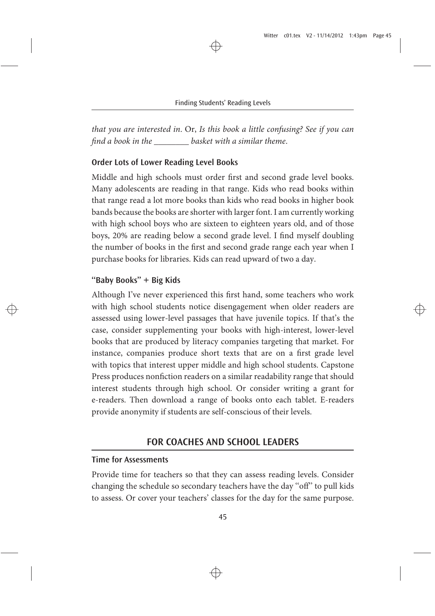*that you are interested in*. Or, *Is this book a little confusing? See if you can find a book in the \_\_\_\_\_\_\_\_ basket with a similar theme*.

#### **Order Lots of Lower Reading Level Books**

Middle and high schools must order first and second grade level books. Many adolescents are reading in that range. Kids who read books within that range read a lot more books than kids who read books in higher book bands because the books are shorter with larger font. I am currently working with high school boys who are sixteen to eighteen years old, and of those boys, 20% are reading below a second grade level. I find myself doubling the number of books in the first and second grade range each year when I purchase books for libraries. Kids can read upward of two a day.

#### **''Baby Books'' + Big Kids**

Although I've never experienced this first hand, some teachers who work with high school students notice disengagement when older readers are assessed using lower-level passages that have juvenile topics. If that's the case, consider supplementing your books with high-interest, lower-level books that are produced by literacy companies targeting that market. For instance, companies produce short texts that are on a first grade level with topics that interest upper middle and high school students. Capstone Press produces nonfiction readers on a similar readability range that should interest students through high school. Or consider writing a grant for e-readers. Then download a range of books onto each tablet. E-readers provide anonymity if students are self-conscious of their levels.

### **FOR COACHES AND SCHOOL LEADERS**

#### **Time for Assessments**

Provide time for teachers so that they can assess reading levels. Consider changing the schedule so secondary teachers have the day ''off'' to pull kids to assess. Or cover your teachers' classes for the day for the same purpose.